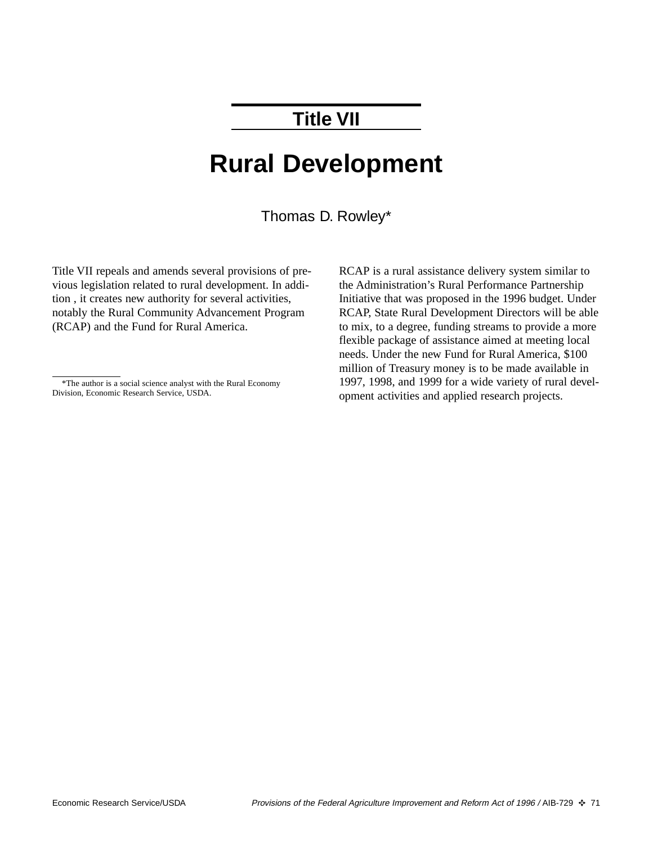# **Title VII**

# **Rural Development**

Thomas D. Rowley\*

Title VII repeals and amends several provisions of previous legislation related to rural development. In addition , it creates new authority for several activities, notably the Rural Community Advancement Program (RCAP) and the Fund for Rural America.

RCAP is a rural assistance delivery system similar to the Administration's Rural Performance Partnership Initiative that was proposed in the 1996 budget. Under RCAP, State Rural Development Directors will be able to mix, to a degree, funding streams to provide a more flexible package of assistance aimed at meeting local needs. Under the new Fund for Rural America, \$100 million of Treasury money is to be made available in 1997, 1998, and 1999 for a wide variety of rural development activities and applied research projects.

<sup>\*</sup>The author is a social science analyst with the Rural Economy Division, Economic Research Service, USDA.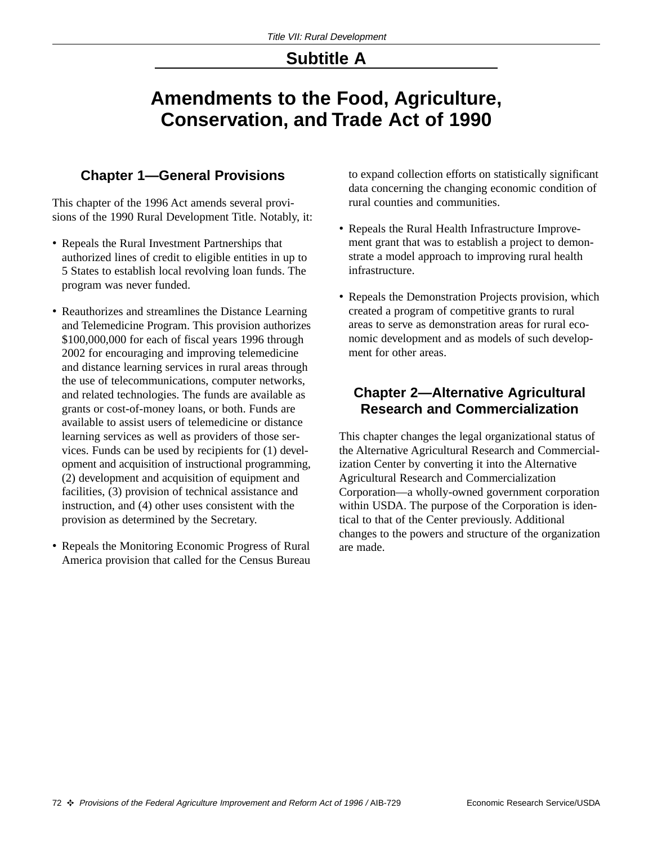### **Subtitle A**

## **Amendments to the Food, Agriculture, Conservation, and Trade Act of 1990**

#### **Chapter 1—General Provisions**

This chapter of the 1996 Act amends several provisions of the 1990 Rural Development Title. Notably, it:

- Repeals the Rural Investment Partnerships that authorized lines of credit to eligible entities in up to 5 States to establish local revolving loan funds. The program was never funded.
- Reauthorizes and streamlines the Distance Learning and Telemedicine Program. This provision authorizes \$100,000,000 for each of fiscal years 1996 through 2002 for encouraging and improving telemedicine and distance learning services in rural areas through the use of telecommunications, computer networks, and related technologies. The funds are available as grants or cost-of-money loans, or both. Funds are available to assist users of telemedicine or distance learning services as well as providers of those services. Funds can be used by recipients for (1) development and acquisition of instructional programming, (2) development and acquisition of equipment and facilities, (3) provision of technical assistance and instruction, and (4) other uses consistent with the provision as determined by the Secretary.
- Repeals the Monitoring Economic Progress of Rural America provision that called for the Census Bureau

to expand collection efforts on statistically significant data concerning the changing economic condition of rural counties and communities.

- Repeals the Rural Health Infrastructure Improvement grant that was to establish a project to demonstrate a model approach to improving rural health infrastructure.
- Repeals the Demonstration Projects provision, which created a program of competitive grants to rural areas to serve as demonstration areas for rural economic development and as models of such development for other areas.

#### **Chapter 2—Alternative Agricultural Research and Commercialization**

This chapter changes the legal organizational status of the Alternative Agricultural Research and Commercialization Center by converting it into the Alternative Agricultural Research and Commercialization Corporation—a wholly-owned government corporation within USDA. The purpose of the Corporation is identical to that of the Center previously. Additional changes to the powers and structure of the organization are made.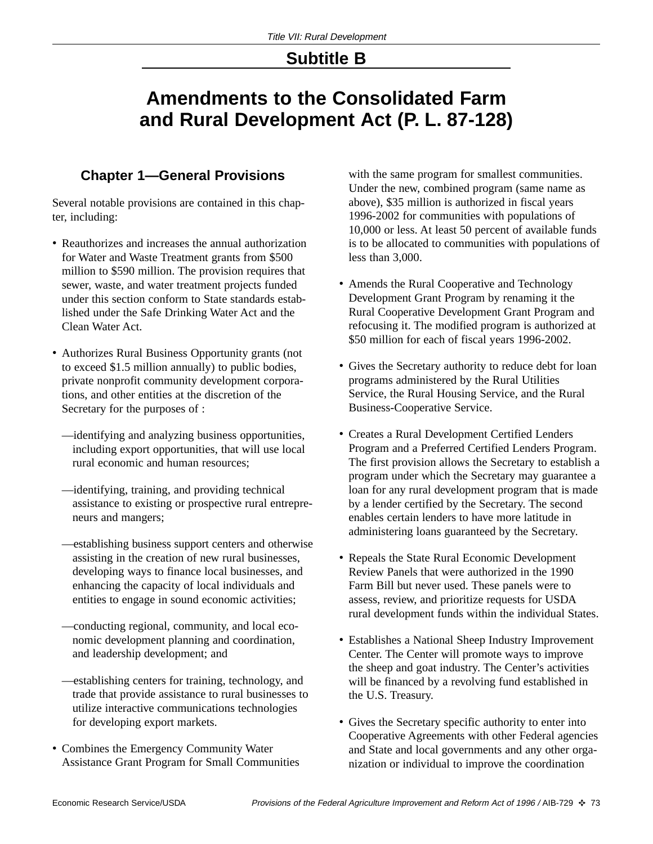### **Subtitle B**

# **Amendments to the Consolidated Farm and Rural Development Act (P. L. 87-128)**

#### **Chapter 1—General Provisions**

Several notable provisions are contained in this chapter, including:

- Reauthorizes and increases the annual authorization for Water and Waste Treatment grants from \$500 million to \$590 million. The provision requires that sewer, waste, and water treatment projects funded under this section conform to State standards established under the Safe Drinking Water Act and the Clean Water Act.
- Authorizes Rural Business Opportunity grants (not to exceed \$1.5 million annually) to public bodies, private nonprofit community development corporations, and other entities at the discretion of the Secretary for the purposes of :
	- —identifying and analyzing business opportunities, including export opportunities, that will use local rural economic and human resources;
	- —identifying, training, and providing technical assistance to existing or prospective rural entrepreneurs and mangers;
	- —establishing business support centers and otherwise assisting in the creation of new rural businesses, developing ways to finance local businesses, and enhancing the capacity of local individuals and entities to engage in sound economic activities;
	- —conducting regional, community, and local economic development planning and coordination, and leadership development; and
	- —establishing centers for training, technology, and trade that provide assistance to rural businesses to utilize interactive communications technologies for developing export markets.
- Combines the Emergency Community Water Assistance Grant Program for Small Communities

with the same program for smallest communities. Under the new, combined program (same name as above), \$35 million is authorized in fiscal years 1996-2002 for communities with populations of 10,000 or less. At least 50 percent of available funds is to be allocated to communities with populations of less than 3,000.

- Amends the Rural Cooperative and Technology Development Grant Program by renaming it the Rural Cooperative Development Grant Program and refocusing it. The modified program is authorized at \$50 million for each of fiscal years 1996-2002.
- Gives the Secretary authority to reduce debt for loan programs administered by the Rural Utilities Service, the Rural Housing Service, and the Rural Business-Cooperative Service.
- Creates a Rural Development Certified Lenders Program and a Preferred Certified Lenders Program. The first provision allows the Secretary to establish a program under which the Secretary may guarantee a loan for any rural development program that is made by a lender certified by the Secretary. The second enables certain lenders to have more latitude in administering loans guaranteed by the Secretary.
- Repeals the State Rural Economic Development Review Panels that were authorized in the 1990 Farm Bill but never used. These panels were to assess, review, and prioritize requests for USDA rural development funds within the individual States.
- Establishes a National Sheep Industry Improvement Center. The Center will promote ways to improve the sheep and goat industry. The Center's activities will be financed by a revolving fund established in the U.S. Treasury.
- Gives the Secretary specific authority to enter into Cooperative Agreements with other Federal agencies and State and local governments and any other organization or individual to improve the coordination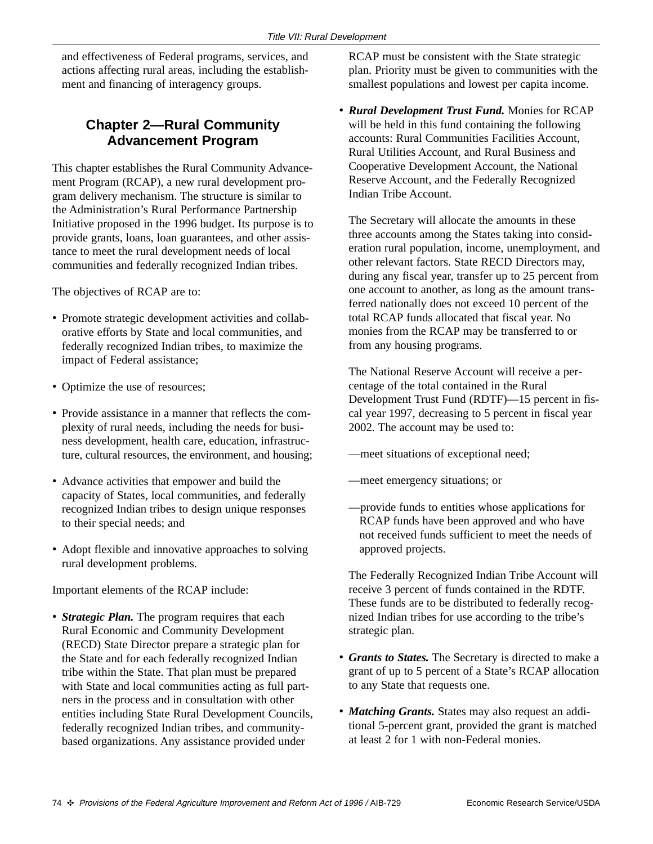and effectiveness of Federal programs, services, and actions affecting rural areas, including the establishment and financing of interagency groups.

#### **Chapter 2—Rural Community Advancement Program**

This chapter establishes the Rural Community Advancement Program (RCAP), a new rural development program delivery mechanism. The structure is similar to the Administration's Rural Performance Partnership Initiative proposed in the 1996 budget. Its purpose is to provide grants, loans, loan guarantees, and other assistance to meet the rural development needs of local communities and federally recognized Indian tribes.

The objectives of RCAP are to:

- Promote strategic development activities and collaborative efforts by State and local communities, and federally recognized Indian tribes, to maximize the impact of Federal assistance;
- Optimize the use of resources;
- Provide assistance in a manner that reflects the complexity of rural needs, including the needs for business development, health care, education, infrastructure, cultural resources, the environment, and housing;
- Advance activities that empower and build the capacity of States, local communities, and federally recognized Indian tribes to design unique responses to their special needs; and
- Adopt flexible and innovative approaches to solving rural development problems.

Important elements of the RCAP include:

• *Strategic Plan.* The program requires that each Rural Economic and Community Development (RECD) State Director prepare a strategic plan for the State and for each federally recognized Indian tribe within the State. That plan must be prepared with State and local communities acting as full partners in the process and in consultation with other entities including State Rural Development Councils, federally recognized Indian tribes, and communitybased organizations. Any assistance provided under

RCAP must be consistent with the State strategic plan. Priority must be given to communities with the smallest populations and lowest per capita income.

• *Rural Development Trust Fund.* Monies for RCAP will be held in this fund containing the following accounts: Rural Communities Facilities Account, Rural Utilities Account, and Rural Business and Cooperative Development Account, the National Reserve Account, and the Federally Recognized Indian Tribe Account.

The Secretary will allocate the amounts in these three accounts among the States taking into consideration rural population, income, unemployment, and other relevant factors. State RECD Directors may, during any fiscal year, transfer up to 25 percent from one account to another, as long as the amount transferred nationally does not exceed 10 percent of the total RCAP funds allocated that fiscal year. No monies from the RCAP may be transferred to or from any housing programs.

The National Reserve Account will receive a percentage of the total contained in the Rural Development Trust Fund (RDTF)—15 percent in fiscal year 1997, decreasing to 5 percent in fiscal year 2002. The account may be used to:

- —meet situations of exceptional need;
- —meet emergency situations; or
- —provide funds to entities whose applications for RCAP funds have been approved and who have not received funds sufficient to meet the needs of approved projects.

The Federally Recognized Indian Tribe Account will receive 3 percent of funds contained in the RDTF. These funds are to be distributed to federally recognized Indian tribes for use according to the tribe's strategic plan.

- *Grants to States.* The Secretary is directed to make a grant of up to 5 percent of a State's RCAP allocation to any State that requests one.
- *Matching Grants.* States may also request an additional 5-percent grant, provided the grant is matched at least 2 for 1 with non-Federal monies.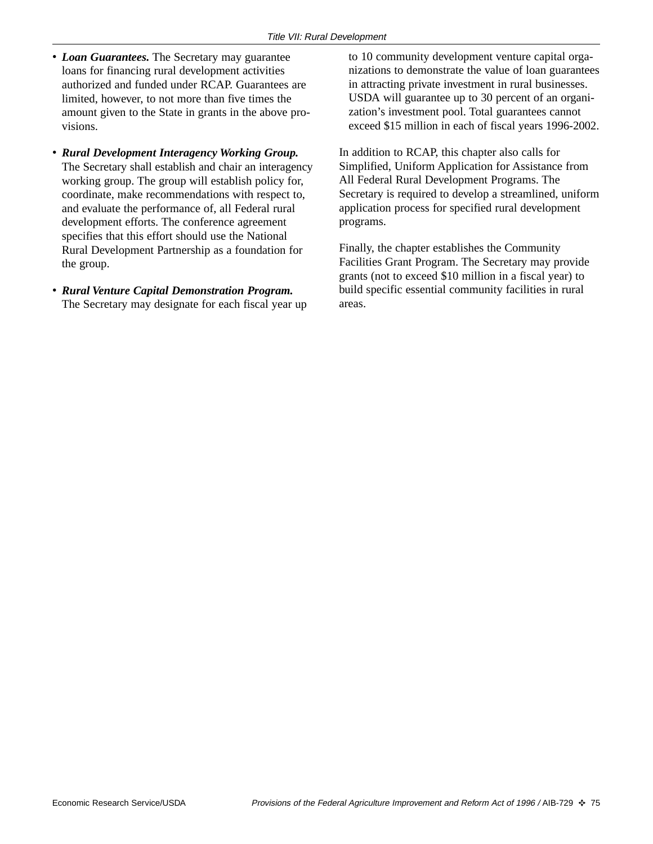- *Loan Guarantees.* The Secretary may guarantee loans for financing rural development activities authorized and funded under RCAP. Guarantees are limited, however, to not more than five times the amount given to the State in grants in the above provisions.
- *Rural Development Interagency Working Group.* The Secretary shall establish and chair an interagency working group. The group will establish policy for, coordinate, make recommendations with respect to, and evaluate the performance of, all Federal rural development efforts. The conference agreement specifies that this effort should use the National Rural Development Partnership as a foundation for the group.
- *Rural Venture Capital Demonstration Program.* The Secretary may designate for each fiscal year up

to 10 community development venture capital organizations to demonstrate the value of loan guarantees in attracting private investment in rural businesses. USDA will guarantee up to 30 percent of an organization's investment pool. Total guarantees cannot exceed \$15 million in each of fiscal years 1996-2002.

In addition to RCAP, this chapter also calls for Simplified, Uniform Application for Assistance from All Federal Rural Development Programs. The Secretary is required to develop a streamlined, uniform application process for specified rural development programs.

Finally, the chapter establishes the Community Facilities Grant Program. The Secretary may provide grants (not to exceed \$10 million in a fiscal year) to build specific essential community facilities in rural areas.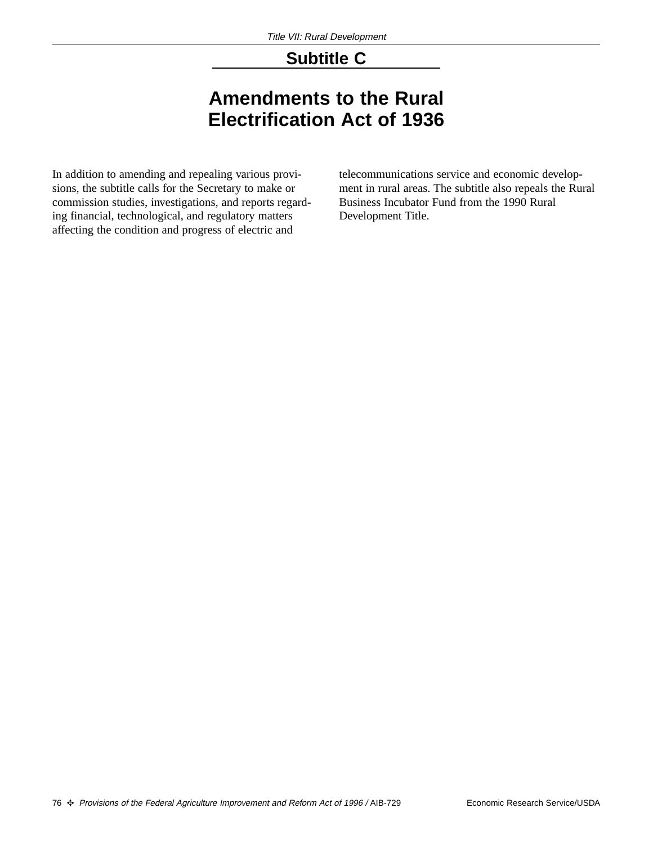### **Subtitle C**

# **Amendments to the Rural Electrification Act of 1936**

In addition to amending and repealing various provisions, the subtitle calls for the Secretary to make or commission studies, investigations, and reports regarding financial, technological, and regulatory matters affecting the condition and progress of electric and

telecommunications service and economic development in rural areas. The subtitle also repeals the Rural Business Incubator Fund from the 1990 Rural Development Title.